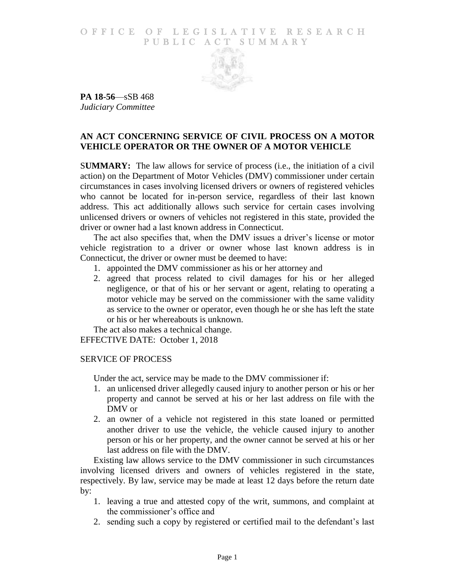## O F FICE OF LEGISLATIVE RESEARCH PUBLIC ACT SUMMARY



**PA 18-56**—sSB 468 *Judiciary Committee*

## **AN ACT CONCERNING SERVICE OF CIVIL PROCESS ON A MOTOR VEHICLE OPERATOR OR THE OWNER OF A MOTOR VEHICLE**

S**UMMARY:** The law allows for service of process (i.e., the initiation of a civil action) on the Department of Motor Vehicles (DMV) commissioner under certain circumstances in cases involving licensed drivers or owners of registered vehicles who cannot be located for in-person service, regardless of their last known address. This act additionally allows such service for certain cases involving unlicensed drivers or owners of vehicles not registered in this state, provided the driver or owner had a last known address in Connecticut.

The act also specifies that, when the DMV issues a driver's license or motor vehicle registration to a driver or owner whose last known address is in Connecticut, the driver or owner must be deemed to have:

- 1. appointed the DMV commissioner as his or her attorney and
- 2. agreed that process related to civil damages for his or her alleged negligence, or that of his or her servant or agent, relating to operating a motor vehicle may be served on the commissioner with the same validity as service to the owner or operator, even though he or she has left the state or his or her whereabouts is unknown.

The act also makes a technical change.

EFFECTIVE DATE: October 1, 2018

## SERVICE OF PROCESS

Under the act, service may be made to the DMV commissioner if:

- 1. an unlicensed driver allegedly caused injury to another person or his or her property and cannot be served at his or her last address on file with the DMV or
- 2. an owner of a vehicle not registered in this state loaned or permitted another driver to use the vehicle, the vehicle caused injury to another person or his or her property, and the owner cannot be served at his or her last address on file with the DMV.

Existing law allows service to the DMV commissioner in such circumstances involving licensed drivers and owners of vehicles registered in the state, respectively. By law, service may be made at least 12 days before the return date by:

- 1. leaving a true and attested copy of the writ, summons, and complaint at the commissioner's office and
- 2. sending such a copy by registered or certified mail to the defendant's last